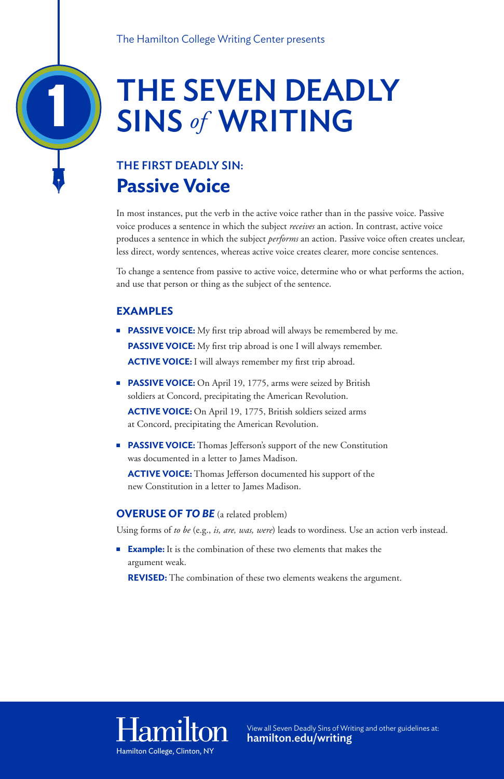# THE SEVEN DEADLY SINS *of* WRITING

### THE FIRST DEADLY SIN: **Passive Voice**

In most instances, put the verb in the active voice rather than in the passive voice. Passive voice produces a sentence in which the subject *receives* an action. In contrast, active voice produces a sentence in which the subject *performs* an action. Passive voice often creates unclear, less direct, wordy sentences, whereas active voice creates clearer, more concise sentences.

To change a sentence from passive to active voice, determine who or what performs the action, and use that person or thing as the subject of the sentence.

- **PASSIVE VOICE:** My first trip abroad will always be remembered by me. **PASSIVE VOICE:** My first trip abroad is one I will always remember. **ACTIVE VOICE:** I will always remember my first trip abroad.
- **PASSIVE VOICE:** On April 19, 1775, arms were seized by British soldiers at Concord, precipitating the American Revolution.  **ACTIVE VOICE:** On April 19, 1775, British soldiers seized arms at Concord, precipitating the American Revolution.
- **PASSIVE VOICE:** Thomas Jefferson's support of the new Constitution was documented in a letter to James Madison.

### **EXAMPLES**

**ACTIVE VOICE:** Thomas Jefferson documented his support of the new Constitution in a letter to James Madison.

**Example:** It is the combination of these two elements that makes the argument weak.

**REVISED:** The combination of these two elements weakens the argument.

## Hamilton

#### **OVERUSE OF** *TO BE* (a related problem)

Using forms of *to be* (e.g., *is, are, was, were*) leads to wordiness. Use an action verb instead.

1

For more information or to view all Seven Deadly Sins of Writing Visit: Hamilton College, Clinton, NY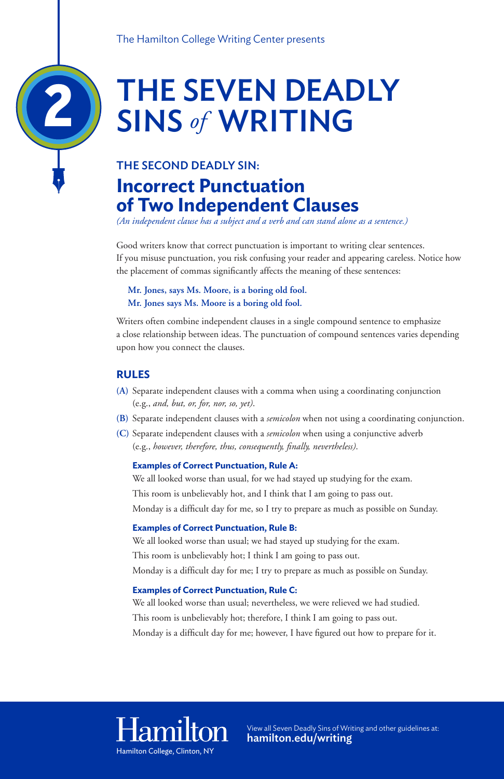# THE SEVEN DEADLY SINS *of* WRITING

### THE SECOND DEADLY SIN: **Incorrect Punctuation of Two Independent Clauses**

*(An independent clause has a subject and a verb and can stand alone as a sentence.)*

Good writers know that correct punctuation is important to writing clear sentences. If you misuse punctuation, you risk confusing your reader and appearing careless. Notice how the placement of commas significantly affects the meaning of these sentences:

**Mr. Jones, says Ms. Moore, is a boring old fool. Mr. Jones says Ms. Moore is a boring old fool.**

Writers often combine independent clauses in a single compound sentence to emphasize a close relationship between ideas. The punctuation of compound sentences varies depending upon how you connect the clauses.

#### **RULES**

- **(A)** Separate independent clauses with a comma when using a coordinating conjunction (e.g., *and, but, or, for, nor, so, yet)*.
- **(B)** Separate independent clauses with a *semicolon* when not using a coordinating conjunction.
- **(C)** Separate independent clauses with a *semicolon* when using a conjunctive adverb (e.g., *however, therefore, thus, consequently, finally, nevertheless)*.

#### **Examples of Correct Punctuation, Rule A:**

We all looked worse than usual, for we had stayed up studying for the exam. This room is unbelievably hot, and I think that I am going to pass out. Monday is a difficult day for me, so I try to prepare as much as possible on Sunday.

#### **Examples of Correct Punctuation, Rule B:**

We all looked worse than usual; we had stayed up studying for the exam.

This room is unbelievably hot; I think I am going to pass out.

Monday is a difficult day for me; I try to prepare as much as possible on Sunday.

#### **Examples of Correct Punctuation, Rule C:**

We all looked worse than usual; nevertheless, we were relieved we had studied. This room is unbelievably hot; therefore, I think I am going to pass out. Monday is a difficult day for me; however, I have figured out how to prepare for it.

## Hamilton

2

For more information or to view all Seven Deadly Sins of Writing Visit: Hamilton College, Clinton, NY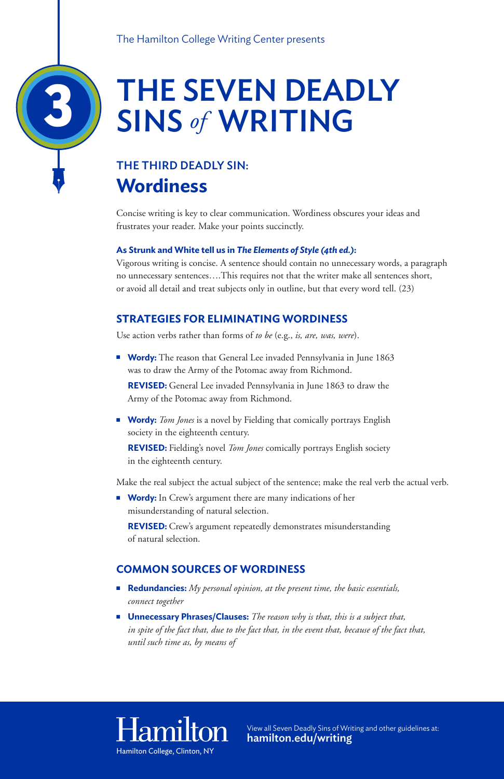# THE SEVEN DEADLY SINS *of* WRITING

### THE THIRD DEADLY SIN: **Wordiness**

Concise writing is key to clear communication. Wordiness obscures your ideas and frustrates your reader. Make your points succinctly.

#### **As Strunk and White tell us in** *The Elements of Style (4th ed.)***:**

**Wordy:** The reason that General Lee invaded Pennsylvania in June 1863 was to draw the Army of the Potomac away from Richmond.

Vigorous writing is concise. A sentence should contain no unnecessary words, a paragraph no unnecessary sentences….This requires not that the writer make all sentences short, or avoid all detail and treat subjects only in outline, but that every word tell. (23)

**Nordy:** Tom Jones is a novel by Fielding that comically portrays English society in the eighteenth century.

### **STRATEGIES FOR ELIMINATING WORDINESS**

Use action verbs rather than forms of *to be* (e.g., *is, are, was, were*).

**Wordy:** In Crew's argument there are many indications of her misunderstanding of natural selection.

**REVISED:** General Lee invaded Pennsylvania in June 1863 to draw the Army of the Potomac away from Richmond.

- **Redundancies:** *My personal opinion, at the present time, the basic essentials, connect together*
- **Unnecessary Phrases/Clauses:** *The reason why is that, this is a subject that, in spite of the fact that, due to the fact that, in the event that, because of the fact that, until such time as, by means of*

### Har

**REVISED:** Fielding's novel *Tom Jones* comically portrays English society in the eighteenth century.

Make the real subject the actual subject of the sentence; make the real verb the actual verb.

**REVISED:** Crew's argument repeatedly demonstrates misunderstanding of natural selection.

#### **COMMON SOURCES OF WORDINESS**

3

Hamilton College For more information or to view all Seven Deadly Sins of Writing Visit: College, Clinton, NY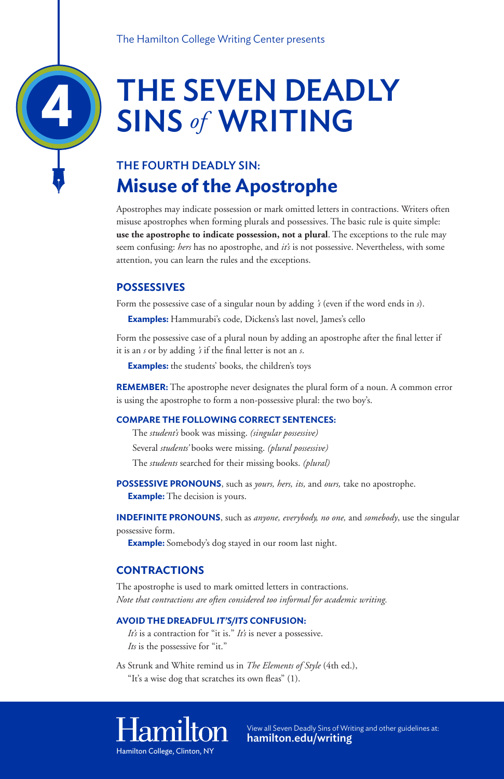# THE SEVEN DEADLY SINS *of* WRITING

### THE FOURTH DEADLY SIN: **Misuse of the Apostrophe**

Apostrophes may indicate possession or mark omitted letters in contractions. Writers often misuse apostrophes when forming plurals and possessives. The basic rule is quite simple: **use the apostrophe to indicate possession, not a plural**. The exceptions to the rule may seem confusing: *hers* has no apostrophe, and *it's* is not possessive. Nevertheless, with some attention, you can learn the rules and the exceptions.

#### **POSSESSIVES**

Form the possessive case of a singular noun by adding *'s* (even if the word ends in *s*).

**Examples:** Hammurabi's code, Dickens's last novel, James's cello

Form the possessive case of a plural noun by adding an apostrophe after the final letter if it is an *s* or by adding *'s* if the final letter is not an *s*.

**Examples:** the students' books, the children's toys

*It's* is a contraction for "it is." *It's* is never a possessive. *Its* is the possessive for "it."

**REMEMBER:** The apostrophe never designates the plural form of a noun. A common error is using the apostrophe to form a non-possessive plural: the two boy's.

#### **COMPARE THE FOLLOWING CORRECT SENTENCES:**

 The *student's* book was missing. *(singular possessive)* Several *students'* books were missing. *(plural possessive)* The *students* searched for their missing books. *(plural)*

**POSSESSIVE PRONOUNS**, such as *yours, hers, its,* and *ours,* take no apostrophe. **Example:** The decision is yours.

**INDEFINITE PRONOUNS**, such as *anyone, everybody, no one,* and *somebody*, use the singular possessive form.

**Example:** Somebody's dog stayed in our room last night.

#### **CONTRACTIONS**

The apostrophe is used to mark omitted letters in contractions. *Note that contractions are often considered too informal for academic writing.*

#### **AVOID THE DREADFUL** *IT'S/ITS* **CONFUSION:**

As Strunk and White remind us in *The Elements of Style* (4th ed.), "It's a wise dog that scratches its own fleas" (1).

### Hamilton

4

For more information or to view all Seven Deadly Sins of Writing Visit: Hamilton College, Clinton, NY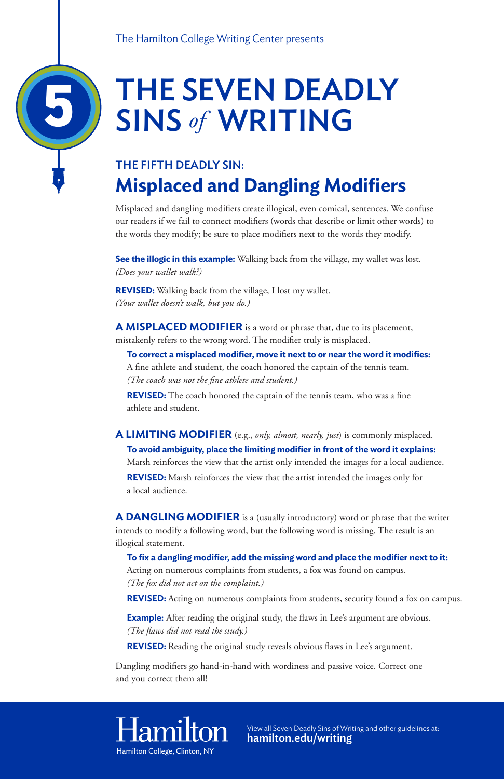# THE SEVEN DEADLY SINS *of* WRITING

### THE FIFTH DEADLY SIN: **Misplaced and Dangling Modifiers**

Misplaced and dangling modifiers create illogical, even comical, sentences. We confuse our readers if we fail to connect modifiers (words that describe or limit other words) to the words they modify; be sure to place modifiers next to the words they modify.

**See the illogic in this example:** Walking back from the village, my wallet was lost. *(Does your wallet walk?)*

**REVISED:** Walking back from the village, I lost my wallet. *(Your wallet doesn't walk, but you do.)*

**A MISPLACED MODIFIER** is a word or phrase that, due to its placement, mistakenly refers to the wrong word. The modifier truly is misplaced.

**To correct a misplaced modifier, move it next to or near the word it modifies:**  A fine athlete and student, the coach honored the captain of the tennis team. *(The coach was not the fine athlete and student.)*

**Example:** After reading the original study, the flaws in Lee's argument are obvious. *(The flaws did not read the study.)*

**REVISED:** Reading the original study reveals obvious flaws in Lee's argument.

**REVISED:** The coach honored the captain of the tennis team, who was a fine athlete and student.

### **A LIMITING MODIFIER** (e.g., *only, almost, nearly, just*) is commonly misplaced. **To avoid ambiguity, place the limiting modifier in front of the word it explains:**  Marsh reinforces the view that the artist only intended the images for a local audience. **REVISED:** Marsh reinforces the view that the artist intended the images only for

a local audience.

**A DANGLING MODIFIER** is a (usually introductory) word or phrase that the writer intends to modify a following word, but the following word is missing. The result is an illogical statement.

**To fix a dangling modifier, add the missing word and place the modifier next to it:** Acting on numerous complaints from students, a fox was found on campus. *(The fox did not act on the complaint.)*

**REVISED:** Acting on numerous complaints from students, security found a fox on campus.

Dangling modifiers go hand-in-hand with wordiness and passive voice. Correct one and you correct them all!

5

For more information or to view all Seven Deadly Sins of Writing Visit: Hamilton College, Clinton, NY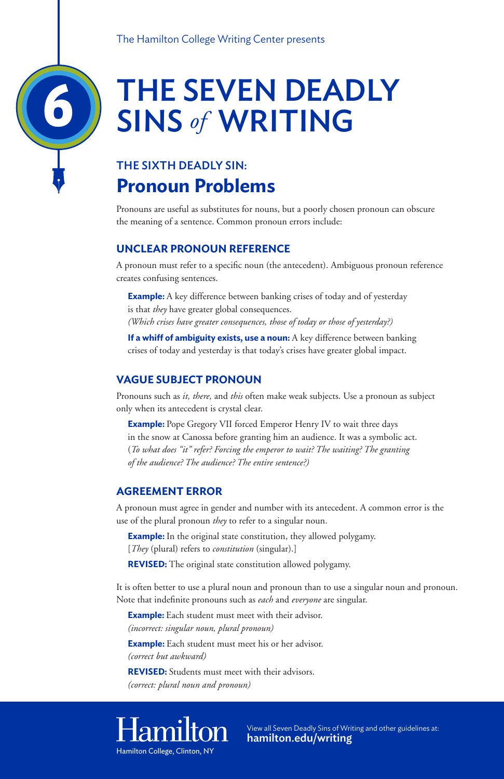# THE SEVEN DEADLY SINS *of* WRITING

### THE SIXTH DEADLY SIN: **Pronoun Problems**

Pronouns are useful as substitutes for nouns, but a poorly chosen pronoun can obscure the meaning of a sentence. Common pronoun errors include:

### **UNCLEAR PRONOUN REFERENCE**

**Example:** A key difference between banking crises of today and of yesterday is that *they* have greater global consequences. *(Which crises have greater consequences, those of today or those of yesterday?)*

A pronoun must refer to a specific noun (the antecedent). Ambiguous pronoun reference creates confusing sentences.

**If a whiff of ambiguity exists, use a noun:** A key difference between banking crises of today and yesterday is that today's crises have greater global impact.

**Example:** Pope Gregory VII forced Emperor Henry IV to wait three days in the snow at Canossa before granting him an audience. It was a symbolic act. (*To what does "it" refer? Forcing the emperor to wait? The waiting? The granting of the audience? The audience? The entire sentence?)*

**Example:** In the original state constitution, they allowed polygamy. [*They* (plural) refers to *constitution* (singular).]

#### **VAGUE SUBJECT PRONOUN**

Pronouns such as *it, there,* and *this* often make weak subjects. Use a pronoun as subject only when its antecedent is crystal clear.

**Example:** Each student must meet with their advisor. *(incorrect: singular noun, plural pronoun)*

**Example:** Each student must meet his or her advisor. *(correct but awkward)*

#### **AGREEMENT ERROR**

A pronoun must agree in gender and number with its antecedent. A common error is the use of the plural pronoun *they* to refer to a singular noun.

**REVISED:** The original state constitution allowed polygamy.

It is often better to use a plural noun and pronoun than to use a singular noun and pronoun. Note that indefinite pronouns such as *each* and *everyone* are singular.

**REVISED:** Students must meet with their advisors. *(correct: plural noun and pronoun)*

## Hamilton

6

For more information or to view all Seven Deadly Sins of Writing Visit: Hamilton College, Clinton, NY